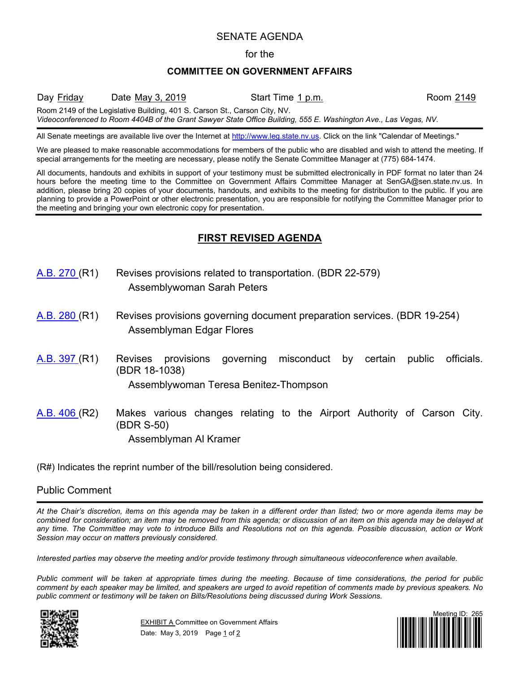### SENATE AGENDA

#### for the

#### **COMMITTEE ON GOVERNMENT AFFAIRS**

Day Friday Date May 3, 2019 Start Time 1 p.m. Room 2149

Room 2149 of the Legislative Building, 401 S. Carson St., Carson City, NV.

*Videoconferenced to Room 4404B of the Grant Sawyer State Office Building, 555 E. Washington Ave., Las Vegas, NV.*

All Senate meetings are available live over the Internet at [http://www.leg.state.nv.us.](http://www.leg.state.nv.us/) Click on the link "Calendar of Meetings."

We are pleased to make reasonable accommodations for members of the public who are disabled and wish to attend the meeting. If special arrangements for the meeting are necessary, please notify the Senate Committee Manager at (775) 684-1474.

All documents, handouts and exhibits in support of your testimony must be submitted electronically in PDF format no later than 24 hours before the meeting time to the Committee on Government Affairs Committee Manager at SenGA@sen.state.nv.us. In addition, please bring 20 copies of your documents, handouts, and exhibits to the meeting for distribution to the public. If you are planning to provide a PowerPoint or other electronic presentation, you are responsible for notifying the Committee Manager prior to the meeting and bringing your own electronic copy for presentation.

# **FIRST REVISED AGENDA**

- [A.B.](https://www.leg.state.nv.us/App/NELIS/REL/80th2019/Bill/6493/Overview/) 270 (R1) Revises provisions related to transportation. (BDR 22-579) Assemblywoman Sarah Peters
- [A.B.](https://www.leg.state.nv.us/App/NELIS/REL/80th2019/Bill/6507/Overview/) 280 (R1) Revises provisions governing document preparation services. (BDR 19-254) Assemblyman Edgar Flores
- [A.B.](https://www.leg.state.nv.us/App/NELIS/REL/80th2019/Bill/6768/Overview/) 397 (R1) Revises provisions governing misconduct by certain public officials. (BDR 18-1038)

Assemblywoman Teresa Benitez-Thompson

[A.B.](https://www.leg.state.nv.us/App/NELIS/REL/80th2019/Bill/6773/Overview/) 406 (R2) Makes various changes relating to the Airport Authority of Carson City. (BDR S-50) Assemblyman Al Kramer

(R#) Indicates the reprint number of the bill/resolution being considered.

## Public Comment

*At the Chair's discretion, items on this agenda may be taken in a different order than listed; two or more agenda items may be combined for consideration; an item may be removed from this agenda; or discussion of an item on this agenda may be delayed at any time. The Committee may vote to introduce Bills and Resolutions not on this agenda. Possible discussion, action or Work Session may occur on matters previously considered.*

*Interested parties may observe the meeting and/or provide testimony through simultaneous videoconference when available.*

*Public comment will be taken at appropriate times during the meeting. Because of time considerations, the period for public comment by each speaker may be limited, and speakers are urged to avoid repetition of comments made by previous speakers. No public comment or testimony will be taken on Bills/Resolutions being discussed during Work Sessions.*



**EXHIBIT A Committee on Government Affairs** Date: May 3, 2019 Page 1 of 2